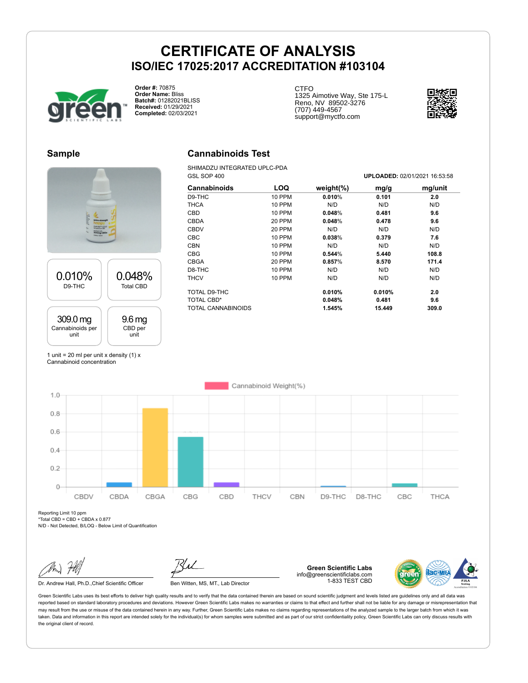**Cannabinoids Test**

SHIMADZU INTEGRATED UPLC-PDA



**Order #:** 70875 **Order Name:** Bliss **Batch#:** 01282021BLISS **Received:** 01/29/2021 **Completed:** 02/03/2021

O<br>5 Aimotive Way, Ste 175-L<br><sub>0,</sub> NV 89502-3276<br>) 449-4567 support@myctfo.com **CTFO** 1325 Aimotive Way, Ste 175-L Reno, NV 89502-3276 (707) 449-4567



GSL SOP 400 **UPLOADED:** 02/01/2021 16:53:58

### **Sample**



| UJL JUF 400         |               |               |        | <b>UPLOADED.</b> 02/01/2021 10.33.36 |
|---------------------|---------------|---------------|--------|--------------------------------------|
| <b>Cannabinoids</b> | LOQ           | weight $(\%)$ | mg/g   | mg/unit                              |
| D9-THC              | <b>10 PPM</b> | 0.010%        | 0.101  | 2.0                                  |
| THCA                | 10 PPM        | N/D           | N/D    | N/D                                  |
| <b>CBD</b>          | 10 PPM        | 0.048%        | 0.481  | 9.6                                  |
| <b>CBDA</b>         | 20 PPM        | 0.048%        | 0.478  | 9.6                                  |
| <b>CBDV</b>         | 20 PPM        | N/D           | N/D    | N/D                                  |
| <b>CBC</b>          | 10 PPM        | 0.038%        | 0.379  | 7.6                                  |
| <b>CBN</b>          | 10 PPM        | N/D           | N/D    | N/D                                  |
| <b>CBG</b>          | <b>10 PPM</b> | 0.544%        | 5.440  | 108.8                                |
| <b>CBGA</b>         | 20 PPM        | 0.857%        | 8.570  | 171.4                                |
| D8-THC              | <b>10 PPM</b> | N/D           | N/D    | N/D                                  |
| <b>THCV</b>         | <b>10 PPM</b> | N/D           | N/D    | N/D                                  |
| TOTAL D9-THC        |               | 0.010%        | 0.010% | 2.0                                  |
| TOTAL CBD*          |               | 0.048%        | 0.481  | 9.6                                  |
| TOTAL CANNABINOIDS  |               | 1.545%        | 15.449 | 309.0                                |
|                     |               |               |        |                                      |

1 unit = 20 ml per unit x density  $(1)$  x Cannabinoid concentration



Reporting Limit 10 ppm  $*Total CBD = CBD + CBDA \times 0.877$ N/D - Not Detected, B/LOQ - Below Limit of Quantification

Dr. Andrew Hall, Ph.D., Chief Scientific Officer Ben Witten, MS, MT., Lab Director

**Green Scientific Labs** info@greenscientificlabs.com 1-833 TEST CBD

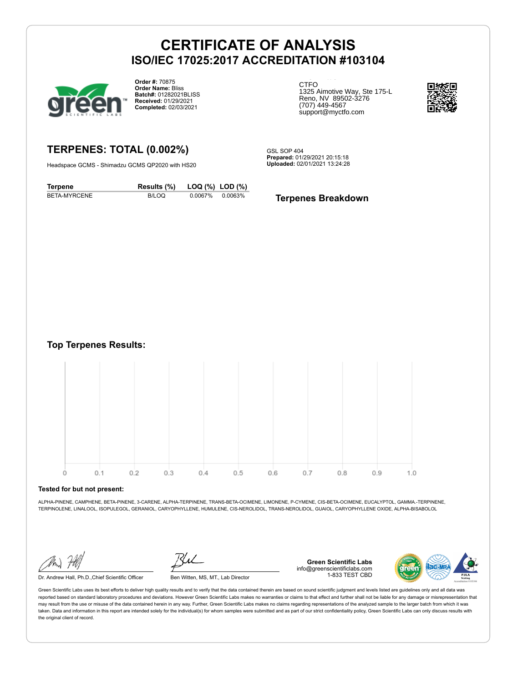

**Order #:** 70875 **Order Name:** Bliss **Batch#:** 01282021BLISS **Received:** 01/29/2021 **Completed:** 02/03/2021

CTFO<br>
Serves **Serves** 511 S<br>1325 Aimotive Way, Ste 175-L La Alliotive Way, Ste 175-L<br>no, NV 89502-3276<br>7) 449-4567 support@myctfo.com Reno, NV 89502-3276 (707) 449-4567



### **TERPENES: TOTAL (0.002%)**

Headspace GCMS - Shimadzu GCMS QP2020 with HS20

GSL SOP 404 **Prepared:** 01/29/2021 20:15:18 **Uploaded:** 02/01/2021 13:24:28

#### **Terpene Results (%) LOQ (%) LOD (%)** BETA-MYRCENE B/LOQ 0.0067% 0.0063% **Terpenes Breakdown**

#### **Top Terpenes Results:**



#### **Tested for but not present:**

ALPHA-PINENE, CAMPHENE, BETA-PINENE, 3-CARENE, ALPHA-TERPINENE, TRANS-BETA-OCIMENE, LIMONENE, P-CYMENE, CIS-BETA-OCIMENE, EUCALYPTOL, GAMMA.-TERPINENE, TERPINOLENE, LINALOOL, ISOPULEGOL, GERANIOL, CARYOPHYLLENE, HUMULENE, CIS-NEROLIDOL, TRANS-NEROLIDOL, GUAIOL, CARYOPHYLLENE OXIDE, ALPHA-BISABOLOL

Dr. Andrew Hall, Ph.D.,Chief Scientific Officer Ben Witten, MS, MT., Lab Director

**Green Scientific Labs** info@greenscientificlabs.com 1-833 TEST CBD

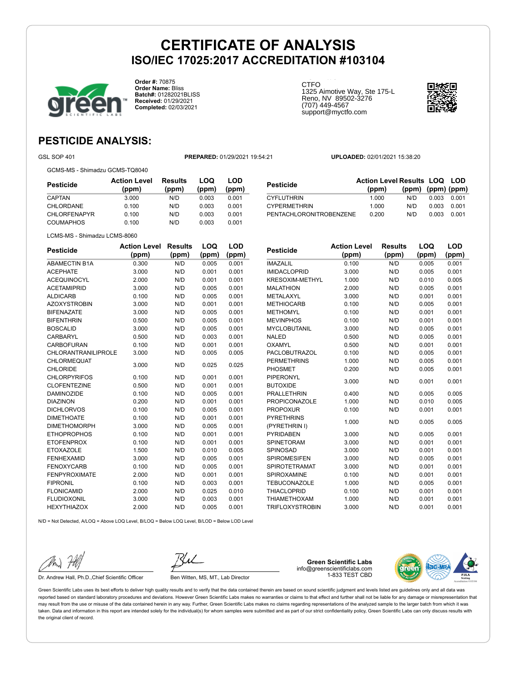

**Order #:** 70875 **Order Name:** Bliss **Batch#:** 01282021BLISS **Received:** 01/29/2021 **Completed:** 02/03/2021

CTFO 511 S<br>1325 Aimotive Way, Ste 175-L 23 Annolive Vvay, Ste 173-1<br>Pho, NV 89502-3276<br>07) 449-4567 support@myctfo.com Reno, NV 89502-3276 (707) 449-4567



### **PESTICIDE ANALYSIS:**

GSL SOP 401 **PREPARED:** 01/29/2021 19:54:21 **UPLOADED:** 02/01/2021 15:38:20

GCMS-MS - Shimadzu GCMS-TQ8040

| Pesticide    | <b>Action Level</b><br>(ppm) | <b>Results</b><br>(ppm) | LOQ<br>(ppm) | LOD<br>(ppm) |  |
|--------------|------------------------------|-------------------------|--------------|--------------|--|
| CAPTAN       | 3.000                        | N/D                     | 0.003        | 0.001        |  |
| CHLORDANE    | 0.100                        | N/D                     | 0.003        | 0.001        |  |
| CHLORFENAPYR | 0.100                        | N/D                     | 0.003        | 0.001        |  |
| COUMAPHOS    | 0.100                        | N/D                     | 0.003        | 0.001        |  |
|              |                              |                         |              |              |  |

**Pesticide Action Level Results LOQ LOD (ppm) (ppm) (ppm) (ppm)** CYFLUTHRIN 1.000 N/D 0.003 0.001 CYPERMETHRIN 1.000 N/D 0.003 0.001 PENTACHLORONITROBENZENE 0.200 N/D 0.003 0.001

LCMS-MS - Shimadzu LCMS-8060

| <b>Pesticide</b>           | <b>Action Level</b> | Results | LOQ   | LOD   |
|----------------------------|---------------------|---------|-------|-------|
|                            | (ppm)               | (ppm)   | (ppm) | (ppm) |
| <b>ABAMECTIN B1A</b>       | 0.300               | N/D     | 0.005 | 0.001 |
| <b>ACEPHATE</b>            | 3.000               | N/D     | 0.001 | 0.001 |
| <b>ACEQUINOCYL</b>         | 2.000               | N/D     | 0.001 | 0.001 |
| <b>ACETAMIPRID</b>         | 3.000               | N/D     | 0.005 | 0.001 |
| <b>ALDICARB</b>            | 0.100               | N/D     | 0.005 | 0.001 |
| <b>AZOXYSTROBIN</b>        | 3.000               | N/D     | 0.001 | 0.001 |
| <b>BIFENAZATE</b>          | 3.000               | N/D     | 0.005 | 0.001 |
| <b>BIFENTHRIN</b>          | 0.500               | N/D     | 0.005 | 0.001 |
| <b>BOSCALID</b>            | 3.000               | N/D     | 0.005 | 0.001 |
| CARBARYL                   | 0.500               | N/D     | 0.003 | 0.001 |
| <b>CARBOFURAN</b>          | 0.100               | N/D     | 0.001 | 0.001 |
| <b>CHLORANTRANILIPROLE</b> | 3.000               | N/D     | 0.005 | 0.005 |
| <b>CHLORMEQUAT</b>         | 3.000               | N/D     | 0.025 | 0.025 |
| <b>CHLORIDE</b>            |                     |         |       |       |
| <b>CHLORPYRIFOS</b>        | 0.100               | N/D     | 0.001 | 0.001 |
| <b>CLOFENTEZINE</b>        | 0.500               | N/D     | 0.001 | 0.001 |
| <b>DAMINOZIDE</b>          | 0.100               | N/D     | 0.005 | 0.001 |
| <b>DIAZINON</b>            | 0.200               | N/D     | 0.001 | 0.001 |
| <b>DICHLORVOS</b>          | 0.100               | N/D     | 0.005 | 0.001 |
| <b>DIMETHOATE</b>          | 0.100               | N/D     | 0.001 | 0.001 |
| <b>DIMETHOMORPH</b>        | 3.000               | N/D     | 0.005 | 0.001 |
| <b>ETHOPROPHOS</b>         | 0.100               | N/D     | 0.001 | 0.001 |
| <b>ETOFENPROX</b>          | 0.100               | N/D     | 0.001 | 0.001 |
| <b>ETOXAZOLE</b>           | 1.500               | N/D     | 0.010 | 0.005 |
| <b>FENHEXAMID</b>          | 3.000               | N/D     | 0.005 | 0.001 |
| <b>FENOXYCARB</b>          | 0.100               | N/D     | 0.005 | 0.001 |
| <b>FENPYROXIMATE</b>       | 2.000               | N/D     | 0.001 | 0.001 |
| <b>FIPRONIL</b>            | 0.100               | N/D     | 0.003 | 0.001 |
| <b>FLONICAMID</b>          | 2.000               | N/D     | 0.025 | 0.010 |
| <b>FLUDIOXONIL</b>         | 3.000               | N/D     | 0.003 | 0.001 |
| <b>HEXYTHIAZOX</b>         | 2.000               | N/D     | 0.005 | 0.001 |

| <b>Pesticide</b>       | <b>Action Level</b> | Results | LOQ   | LOD   |
|------------------------|---------------------|---------|-------|-------|
|                        | (ppm)               | (ppm)   | (ppm) | (ppm) |
| <b>IMAZALIL</b>        | 0.100               | N/D     | 0.005 | 0.001 |
| <b>IMIDACLOPRID</b>    | 3.000               | N/D     | 0.005 | 0.001 |
| <b>KRESOXIM-METHYL</b> | 1.000               | N/D     | 0.010 | 0.005 |
| <b>MALATHION</b>       | 2.000               | N/D     | 0.005 | 0.001 |
| METALAXYL              | 3.000               | N/D     | 0.001 | 0.001 |
| <b>METHIOCARB</b>      | 0.100               | N/D     | 0.005 | 0.001 |
| <b>METHOMYL</b>        | 0.100               | N/D     | 0.001 | 0.001 |
| <b>MEVINPHOS</b>       | 0.100               | N/D     | 0.001 | 0.001 |
| <b>MYCLOBUTANIL</b>    | 3.000               | N/D     | 0.005 | 0.001 |
| <b>NALED</b>           | 0.500               | N/D     | 0.005 | 0.001 |
| OXAMYL                 | 0.500               | N/D     | 0.001 | 0.001 |
| <b>PACLOBUTRAZOL</b>   | 0.100               | N/D     | 0.005 | 0.001 |
| <b>PERMETHRINS</b>     | 1.000               | N/D     | 0.005 | 0.001 |
| PHOSMET                | 0.200               | N/D     | 0.005 | 0.001 |
| <b>PIPERONYL</b>       | 3.000               | N/D     | 0.001 | 0.001 |
| <b>BUTOXIDE</b>        |                     |         |       |       |
| <b>PRALLETHRIN</b>     | 0.400               | N/D     | 0.005 | 0.005 |
| <b>PROPICONAZOLE</b>   | 1.000               | N/D     | 0.010 | 0.005 |
| <b>PROPOXUR</b>        | 0.100               | N/D     | 0.001 | 0.001 |
| <b>PYRETHRINS</b>      | 1.000               | N/D     | 0.005 | 0.005 |
| (PYRETHRIN I)          |                     |         |       |       |
| <b>PYRIDABEN</b>       | 3.000               | N/D     | 0.005 | 0.001 |
| <b>SPINETORAM</b>      | 3.000               | N/D     | 0.001 | 0.001 |
| SPINOSAD               | 3.000               | N/D     | 0.001 | 0.001 |
| <b>SPIROMESIFEN</b>    | 3.000               | N/D     | 0.005 | 0.001 |
| <b>SPIROTETRAMAT</b>   | 3.000               | N/D     | 0.001 | 0.001 |
| <b>SPIROXAMINE</b>     | 0.100               | N/D     | 0.001 | 0.001 |
| <b>TEBUCONAZOLE</b>    | 1.000               | N/D     | 0.005 | 0.001 |
| <b>THIACLOPRID</b>     | 0.100               | N/D     | 0.001 | 0.001 |
| <b>THIAMETHOXAM</b>    | 1.000               | N/D     | 0.001 | 0.001 |
| TRIFLOXYSTROBIN        | 3.000               | N/D     | 0.001 | 0.001 |

N/D = Not Detected, A/LOQ = Above LOQ Level, B/LOQ = Below LOQ Level, B/LOD = Below LOD Level

Dr. Andrew Hall, Ph.D.,Chief Scientific Officer Ben Witten, MS, MT., Lab Director

**Green Scientific Labs** info@greenscientificlabs.com 1-833 TEST CBD

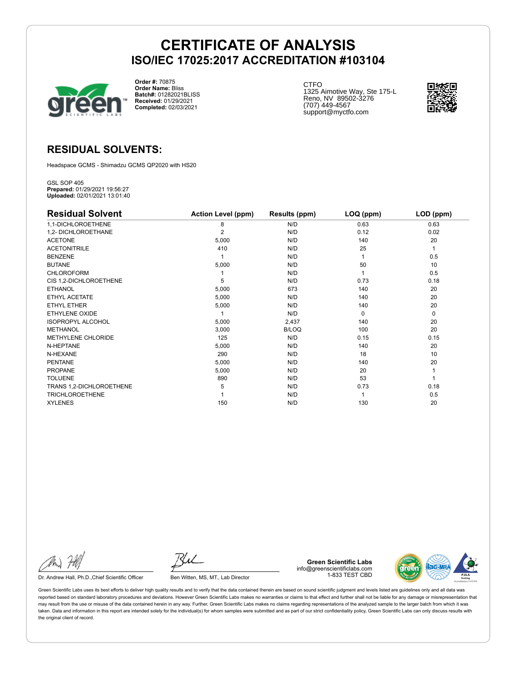

**Order #:** 70875 **Order Name:** Bliss **Batch#:** 01282021BLISS **Received:** 01/29/2021 **Completed:** 02/03/2021

CTFO<sub>b</sub> 511 S<br>1325 Aimotive Way, Ste 175-L 223 Annolive vvay, Ste 173-<br>eno, NV 89502-3276<br>'07) 449-4567<br>upport@myctfo.com Reno, NV 89502-3276 (707) 449-4567 support@myctfo.com



### **RESIDUAL SOLVENTS:**

Headspace GCMS - Shimadzu GCMS QP2020 with HS20

GSL SOP 405 **Prepared:** 01/29/2021 19:56:27 **Uploaded:** 02/01/2021 13:01:40

| <b>Residual Solvent</b>   | <b>Action Level (ppm)</b> | Results (ppm) | LOQ (ppm) | LOD (ppm) |
|---------------------------|---------------------------|---------------|-----------|-----------|
| 1,1-DICHLOROETHENE        | 8                         | N/D           | 0.63      | 0.63      |
| 1,2- DICHLOROETHANE       | 2                         | N/D           | 0.12      | 0.02      |
| <b>ACETONE</b>            | 5,000                     | N/D           | 140       | 20        |
| <b>ACETONITRILE</b>       | 410                       | N/D           | 25        | 1         |
| <b>BENZENE</b>            |                           | N/D           |           | 0.5       |
| <b>BUTANE</b>             | 5,000                     | N/D           | 50        | 10        |
| <b>CHLOROFORM</b>         |                           | N/D           |           | 0.5       |
| CIS 1,2-DICHLOROETHENE    | 5                         | N/D           | 0.73      | 0.18      |
| <b>ETHANOL</b>            | 5,000                     | 673           | 140       | 20        |
| ETHYL ACETATE             | 5,000                     | N/D           | 140       | 20        |
| ETHYL ETHER               | 5,000                     | N/D           | 140       | 20        |
| ETHYLENE OXIDE            |                           | N/D           | 0         | 0         |
| <b>ISOPROPYL ALCOHOL</b>  | 5,000                     | 2,437         | 140       | 20        |
| <b>METHANOL</b>           | 3,000                     | <b>B/LOQ</b>  | 100       | 20        |
| <b>METHYLENE CHLORIDE</b> | 125                       | N/D           | 0.15      | 0.15      |
| N-HEPTANE                 | 5,000                     | N/D           | 140       | 20        |
| N-HEXANE                  | 290                       | N/D           | 18        | 10        |
| <b>PENTANE</b>            | 5,000                     | N/D           | 140       | 20        |
| PROPANE                   | 5,000                     | N/D           | 20        |           |
| <b>TOLUENE</b>            | 890                       | N/D           | 53        |           |
| TRANS 1,2-DICHLOROETHENE  | 5                         | N/D           | 0.73      | 0.18      |
| <b>TRICHLOROETHENE</b>    |                           | N/D           |           | 0.5       |
| <b>XYLENES</b>            | 150                       | N/D           | 130       | 20        |

Dr. Andrew Hall, Ph.D., Chief Scientific Officer Ben Witten, MS, MT., Lab Director

**Green Scientific Labs** info@greenscientificlabs.com 1-833 TEST CBD

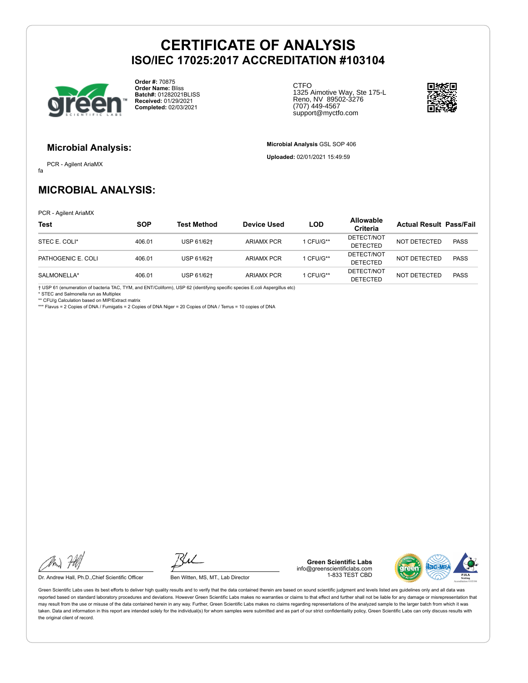

**Order #:** 70875 **Order Name:** Bliss **Batch#:** 01282021BLISS **Received:** 01/29/2021 **Completed:** 02/03/2021

**Seven X Cure** y<br>Aimotive Way, Ste<br>, NV 89502-3276 t4.7xmanufacturing@gmail.com, (707) 449-4567 support@myctfo.com **CTFO** 1325 Aimotive Way, Ste 175-L Reno, NV 89502-3276



#### **Microbial Analysis:**

fa PCR - Agilent AriaMX

# **Microbial Analysis** GSL SOP 406

**Uploaded:** 02/01/2021 15:49:59

### **MICROBIAL ANALYSIS:**

PCR - Agilent AriaMX

| <b>Test</b>        | <b>SOP</b> | <b>Test Method</b> | Device Used       | <b>LOD</b> | <b>Allowable</b><br>Criteria  | <b>Actual Result Pass/Fail</b> |             |
|--------------------|------------|--------------------|-------------------|------------|-------------------------------|--------------------------------|-------------|
| STEC E. COLI*      | 406.01     | USP 61/62+         | <b>ARIAMX PCR</b> | 1 CFU/G**  | DETECT/NOT<br><b>DETECTED</b> | NOT DETECTED                   | <b>PASS</b> |
| PATHOGENIC E. COLI | 406.01     | USP 61/62+         | <b>ARIAMX PCR</b> | 1 CFU/G**  | DETECT/NOT<br><b>DETECTED</b> | NOT DETECTED                   | <b>PASS</b> |
| SALMONELLA*        | 406.01     | USP 61/62+         | <b>ARIAMX PCR</b> | 1 CFU/G**  | DETECT/NOT<br><b>DETECTED</b> | NOT DETECTED                   | <b>PASS</b> |

† USP 61 (enumeration of bacteria TAC, TYM, and ENT/Coliform), USP 62 (identifying specific species E.coli Aspergillus etc) \* STEC and Salmonella run as Multiplex

\*\* CFU/g Calculation based on MIP/Extract matrix

\*\*\* Flavus = 2 Copies of DNA / Fumigatis = 2 Copies of DNA Niger = 20 Copies of DNA / Terrus = 10 copies of DNA

Dr. Andrew Hall, Ph.D., Chief Scientific Officer Ben Witten, MS, MT., Lab Director

**Green Scientific Labs** info@greenscientificlabs.com 1-833 TEST CBD